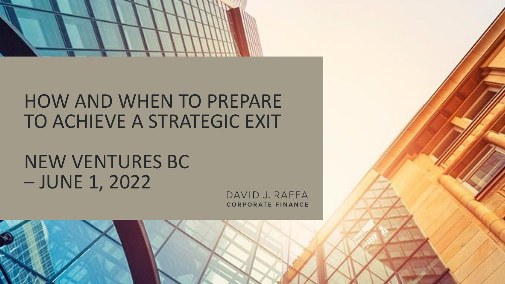

#### HOW AND WHEN TO PREPARE TO ACHIEVE A STRATEGIC EXIT

#### NEW VENTURES BC – JUNE 1, 2022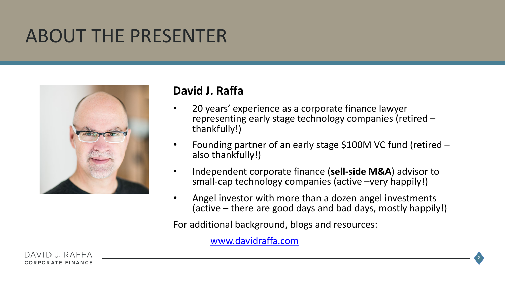#### ABOUT THE PRESENTER



#### **David J. Raffa**

- 20 years' experience as a corporate finance lawyer representing early stage technology companies (retired – thankfully!)
- Founding partner of an early stage \$100M VC fund (retired also thankfully!)
- Independent corporate finance (**sell-side M&A**) advisor to small-cap technology companies (active –very happily!)
- Angel investor with more than a dozen angel investments (active – there are good days and bad days, mostly happily!)

2

For additional background, blogs and resources:

[www.davidraffa.com](http://www.davidraffa.com/)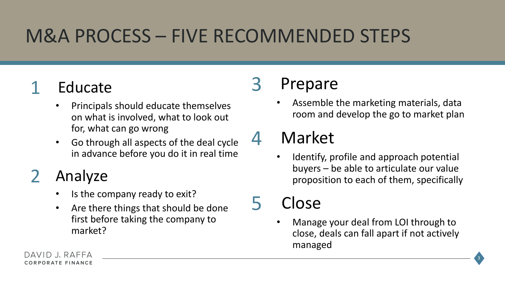# M&A PROCESS – FIVE RECOMMENDED STEPS

#### **Educate**

- Principals should educate themselves on what is involved, what to look out for, what can go wrong
- Go through all aspects of the deal cycle in advance before you do it in real time

#### **Analyze**

- Is the company ready to exit?
- Are there things that should be done first before taking the company to market?

#### **Prepare**

• Assemble the marketing materials, data room and develop the go to market plan

#### **Market**

Identify, profile and approach potential buyers – be able to articulate our value proposition to each of them, specifically

Close

• Manage your deal from LOI through to close, deals can fall apart if not actively managed

3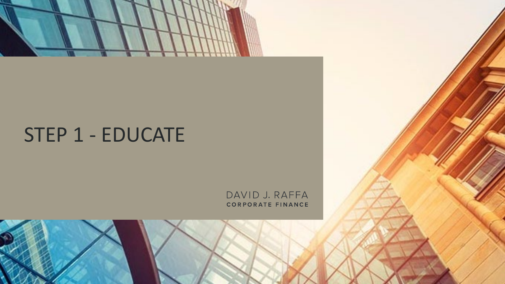

# STEP 1 - EDUCATE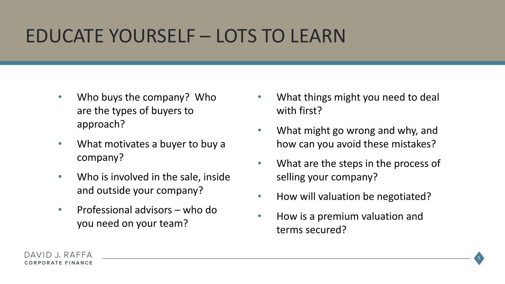### EDUCATE YOURSELF – LOTS TO LEARN

- Who buys the company? Who are the types of buyers to approach?
- What motivates a buyer to buy a company?
- Who is involved in the sale, inside and outside your company?
- Professional advisors who do you need on your team?
- What things might you need to deal with first?
- What might go wrong and why, and how can you avoid these mistakes?
- What are the steps in the process of selling your company?
- How will valuation be negotiated?
- How is a premium valuation and terms secured?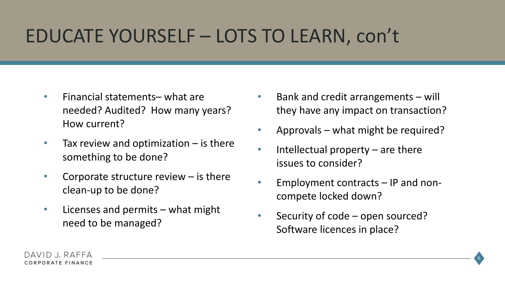### EDUCATE YOURSELF – LOTS TO LEARN, con't

- Financial statements– what are needed? Audited? How many years? How current?
- Tax review and optimization is there something to be done?
- Corporate structure review is there clean-up to be done?
- Licenses and permits what might need to be managed?
- Bank and credit arrangements will they have any impact on transaction?
- Approvals what might be required?
- Intellectual property  $-$  are there issues to consider?
- Employment contracts IP and noncompete locked down?

6

• Security of code – open sourced? Software licences in place?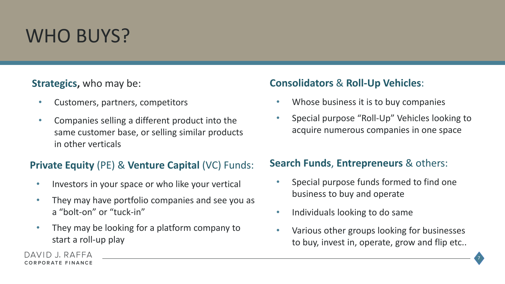# WHO BUYS?

#### **Strategics,** who may be:

- Customers, partners, competitors
- Companies selling a different product into the same customer base, or selling similar products in other verticals

#### **Private Equity** (PE) & **Venture Capital** (VC) Funds:

- Investors in your space or who like your vertical
- They may have portfolio companies and see you as a "bolt-on" or "tuck-in"
- They may be looking for a platform company to start a roll-up play

#### **Consolidators** & **Roll-Up Vehicles**:

- Whose business it is to buy companies
- Special purpose "Roll-Up" Vehicles looking to acquire numerous companies in one space

#### **Search Funds**, **Entrepreneurs** & others:

- Special purpose funds formed to find one business to buy and operate
- Individuals looking to do same
- Various other groups looking for businesses to buy, invest in, operate, grow and flip etc..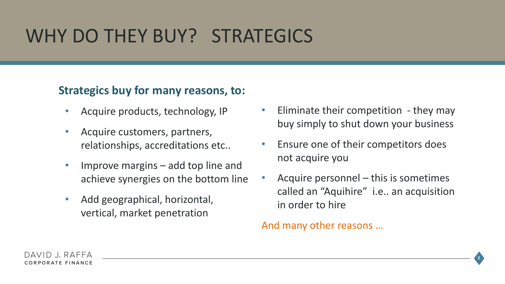# WHY DO THEY BUY? STRATEGICS

#### **Strategics buy for many reasons, to:**

- Acquire products, technology, IP
- Acquire customers, partners, relationships, accreditations etc..
- Improve margins  $-$  add top line and achieve synergies on the bottom line
- Add geographical, horizontal, vertical, market penetration
- Eliminate their competition they may buy simply to shut down your business
- Ensure one of their competitors does not acquire you
- Acquire personnel this is sometimes called an "Aquihire" i.e.. an acquisition in order to hire

#### And many other reasons …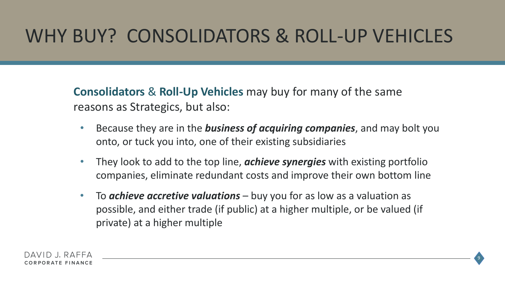## WHY BUY? CONSOLIDATORS & ROLL-UP VEHICLES

**Consolidators** & **Roll-Up Vehicles** may buy for many of the same reasons as Strategics, but also:

- Because they are in the *business of acquiring companies*, and may bolt you onto, or tuck you into, one of their existing subsidiaries
- They look to add to the top line, *achieve synergies* with existing portfolio companies, eliminate redundant costs and improve their own bottom line
- To *achieve accretive valuations*  buy you for as low as a valuation as possible, and either trade (if public) at a higher multiple, or be valued (if private) at a higher multiple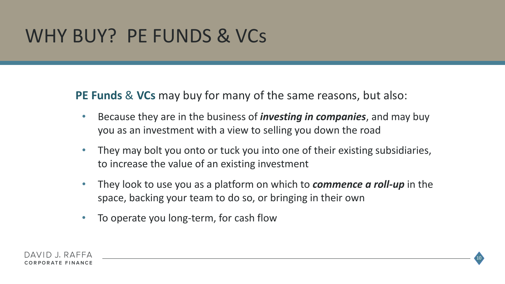## WHY BUY? PE FUNDS & VCs

**PE Funds** & **VCs** may buy for many of the same reasons, but also:

- Because they are in the business of *investing in companies*, and may buy you as an investment with a view to selling you down the road
- They may bolt you onto or tuck you into one of their existing subsidiaries, to increase the value of an existing investment
- They look to use you as a platform on which to *commence a roll-up* in the space, backing your team to do so, or bringing in their own

10

• To operate you long-term, for cash flow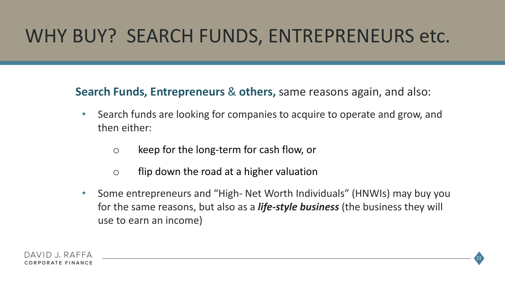### WHY BUY? SEARCH FUNDS, ENTREPRENEURS etc.

**Search Funds, Entrepreneurs** & **others,** same reasons again, and also:

- Search funds are looking for companies to acquire to operate and grow, and then either:
	- o keep for the long-term for cash flow, or
	- o flip down the road at a higher valuation
- Some entrepreneurs and "High- Net Worth Individuals" (HNWIs) may buy you for the same reasons, but also as a *life-style business* (the business they will use to earn an income)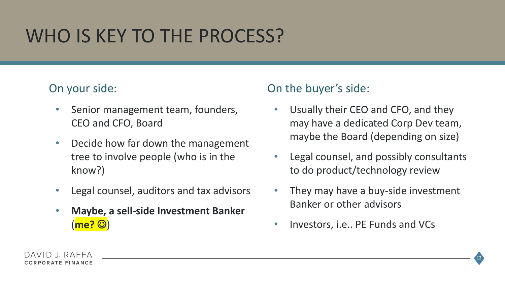# WHO IS KEY TO THE PROCESS?

#### On your side:

- Senior management team, founders, CEO and CFO, Board
- Decide how far down the management tree to involve people (who is in the know?)
- Legal counsel, auditors and tax advisors
- **Maybe, a sell-side Investment Banker**  (<mark>me? ③</mark>)

#### On the buyer's side:

- Usually their CEO and CFO, and they may have a dedicated Corp Dev team, maybe the Board (depending on size)
- Legal counsel, and possibly consultants to do product/technology review
- They may have a buy-side investment Banker or other advisors
- Investors, i.e.. PE Funds and VCs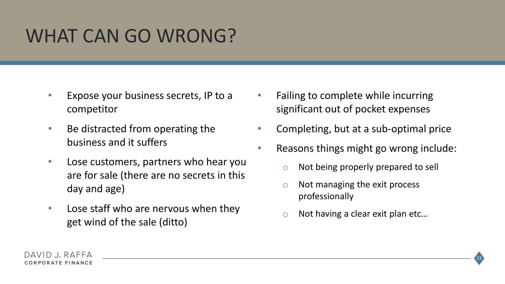### WHAT CAN GO WRONG?

- Expose your business secrets, IP to a competitor
- Be distracted from operating the business and it suffers
- Lose customers, partners who hear you are for sale (there are no secrets in this day and age)
- Lose staff who are nervous when they get wind of the sale (ditto)
- Failing to complete while incurring significant out of pocket expenses
- Completing, but at a sub-optimal price
- Reasons things might go wrong include:
	- Not being properly prepared to sell
	- o Not managing the exit process professionally
	- Not having a clear exit plan etc...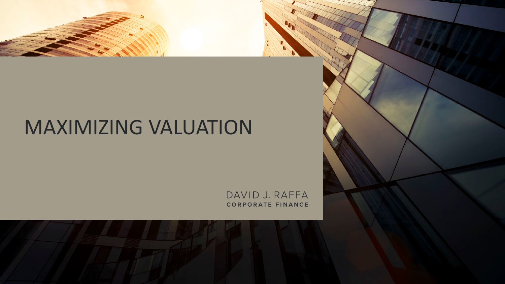# MAXIMIZING VALUATION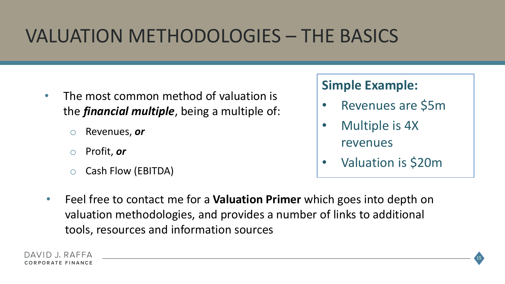# VALUATION METHODOLOGIES – THE BASICS

- The most common method of valuation is the *financial multiple*, being a multiple of:
	- o Revenues, *or*
	- Profit, or
	- o Cash Flow (EBITDA)

#### **Simple Example:**

- Revenues are \$5m
- Multiple is 4X revenues
- Valuation is \$20m

15

• Feel free to contact me for a **Valuation Primer** which goes into depth on valuation methodologies, and provides a number of links to additional tools, resources and information sources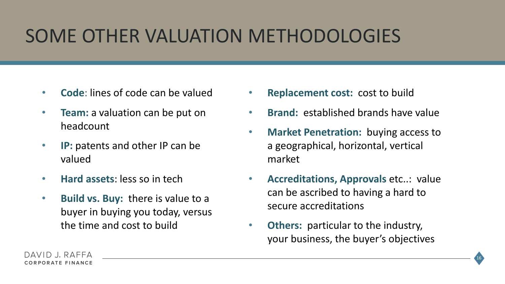# SOME OTHER VALUATION METHODOLOGIES

- **Code**: lines of code can be valued
- **Team:** a valuation can be put on headcount
- **IP:** patents and other IP can be valued
- **Hard assets**: less so in tech
- **Build vs. Buy:** there is value to a buyer in buying you today, versus the time and cost to build
- **Replacement cost:** cost to build
- **Brand:** established brands have value
- **Market Penetration:** buying access to a geographical, horizontal, vertical market
- **Accreditations, Approvals** etc..: value can be ascribed to having a hard to secure accreditations
- **Others:** particular to the industry, your business, the buyer's objectives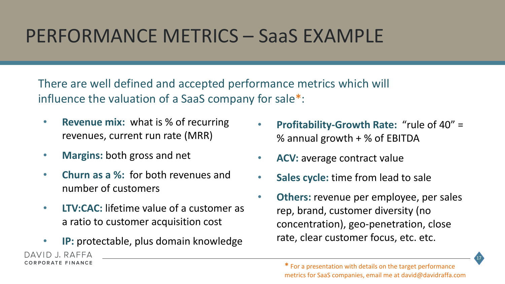#### PERFORMANCE METRICS – SaaS EXAMPLE

There are well defined and accepted performance metrics which will influence the valuation of a SaaS company for sale\*:

- **Revenue mix:** what is % of recurring revenues, current run rate (MRR)
- **Margins:** both gross and net

CORPORATE FINANCE

- **Churn as a %:** for both revenues and number of customers
- **LTV:CAC:** lifetime value of a customer as a ratio to customer acquisition cost
- **IP:** protectable, plus domain knowledge DAVID I RAFFA
- **Profitability-Growth Rate:** "rule of 40" = % annual growth + % of EBITDA
- **ACV:** average contract value
- **Sales cycle:** time from lead to sale
- **Others:** revenue per employee, per sales rep, brand, customer diversity (no concentration), geo-penetration, close rate, clear customer focus, etc. etc.

17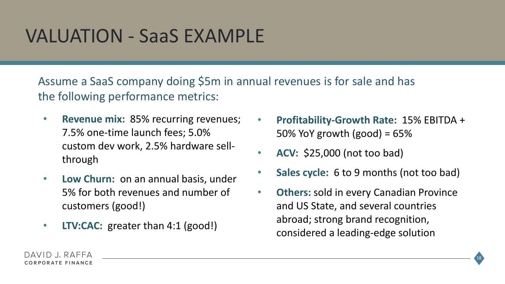#### VALUATION - SaaS EXAMPLE

Assume a SaaS company doing \$5m in annual revenues is for sale and has the following performance metrics:

- **Revenue mix:** 85% recurring revenues; 7.5% one-time launch fees; 5.0% custom dev work, 2.5% hardware sellthrough
- **Low Churn:** on an annual basis, under 5% for both revenues and number of customers (good!)
- **LTV:CAC:** greater than 4:1 (good!)
- **Profitability-Growth Rate:** 15% EBITDA + 50% YoY growth (good) =  $65\%$
- **ACV:** \$25,000 (not too bad)
- **Sales cycle:** 6 to 9 months (not too bad)
- **Others:** sold in every Canadian Province and US State, and several countries abroad; strong brand recognition, considered a leading-edge solution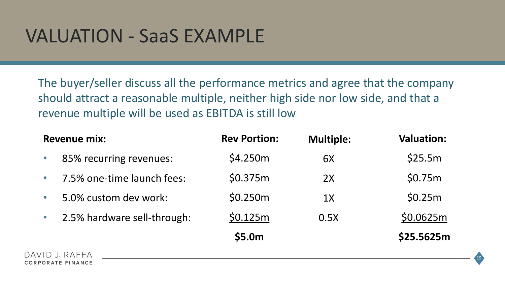#### VALUATION - SaaS EXAMPLE

The buyer/seller discuss all the performance metrics and agree that the company should attract a reasonable multiple, neither high side nor low side, and that a revenue multiple will be used as EBITDA is still low

| <b>Revenue mix:</b> |                             | <b>Rev Portion:</b> | <b>Multiple:</b> | <b>Valuation:</b> |
|---------------------|-----------------------------|---------------------|------------------|-------------------|
| $\bullet$           | 85% recurring revenues:     | \$4.250m            | 6X               | \$25.5m           |
| $\bullet$           | 7.5% one-time launch fees:  | \$0.375m            | 2X               | \$0.75m           |
| $\bullet$           | 5.0% custom dev work:       | \$0.250m            | 1X               | \$0.25m           |
| $\bullet$           | 2.5% hardware sell-through: | \$0.125m            | 0.5X             | \$0.0625m         |
|                     |                             | \$5.0m              |                  | \$25.5625m        |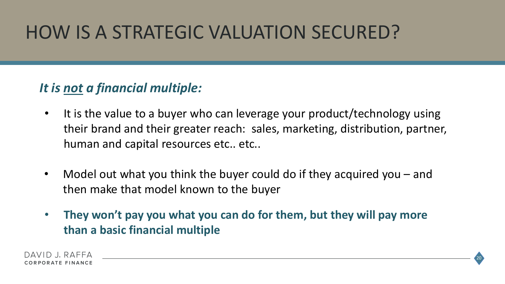# HOW IS A STRATEGIC VALUATION SECURED?

#### *It is not a financial multiple:*

- It is the value to a buyer who can leverage your product/technology using their brand and their greater reach: sales, marketing, distribution, partner, human and capital resources etc.. etc..
- Model out what you think the buyer could do if they acquired you and then make that model known to the buyer
- **They won't pay you what you can do for them, but they will pay more than a basic financial multiple**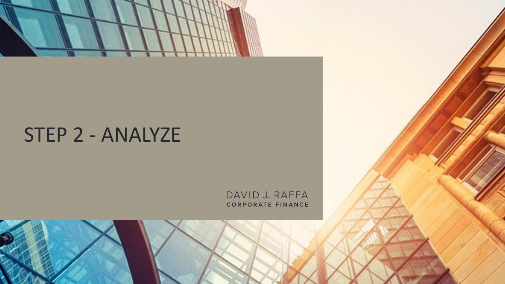

### STEP 2 - ANALYZE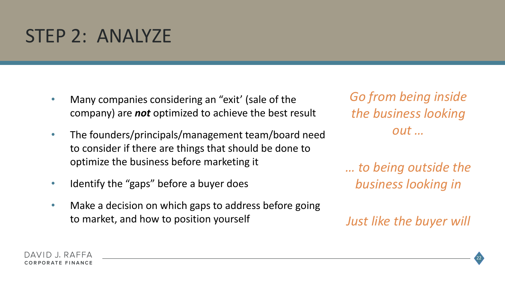#### STEP 2: ANALYZE

- Many companies considering an "exit' (sale of the company) are *not* optimized to achieve the best result
- The founders/principals/management team/board need to consider if there are things that should be done to optimize the business before marketing it
- Identify the "gaps" before a buyer does
- Make a decision on which gaps to address before going to market, and how to position yourself

*Go from being inside the business looking out …*

*… to being outside the business looking in*

*Just like the buyer will*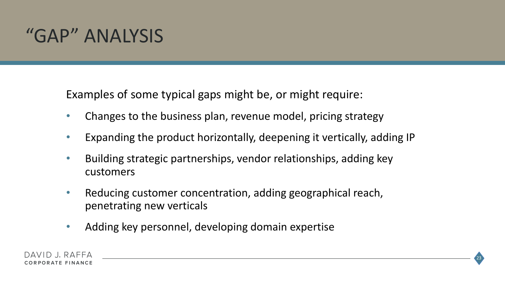### "GAP" ANALYSIS

Examples of some typical gaps might be, or might require:

- Changes to the business plan, revenue model, pricing strategy
- Expanding the product horizontally, deepening it vertically, adding IP
- Building strategic partnerships, vendor relationships, adding key customers
- Reducing customer concentration, adding geographical reach, penetrating new verticals
- Adding key personnel, developing domain expertise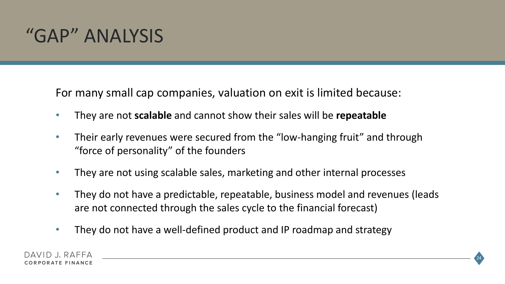### "GAP" ANALYSIS

For many small cap companies, valuation on exit is limited because:

- They are not **scalable** and cannot show their sales will be **repeatable**
- Their early revenues were secured from the "low-hanging fruit" and through "force of personality" of the founders
- They are not using scalable sales, marketing and other internal processes
- They do not have a predictable, repeatable, business model and revenues (leads are not connected through the sales cycle to the financial forecast)
- They do not have a well-defined product and IP roadmap and strategy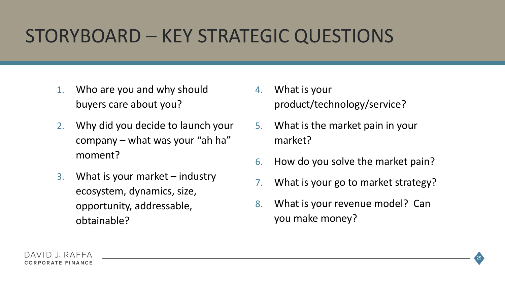# STORYBOARD – KEY STRATEGIC QUESTIONS

- 1. Who are you and why should buyers care about you?
- 2. Why did you decide to launch your company – what was your "ah ha" moment?
- 3. What is your market industry ecosystem, dynamics, size, opportunity, addressable, obtainable?
- 4. What is your product/technology/service?
- 5. What is the market pain in your market?
- 6. How do you solve the market pain?
- 7. What is your go to market strategy?
- 8. What is your revenue model? Can you make money?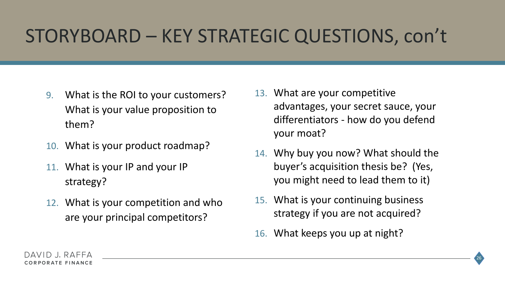# STORYBOARD – KEY STRATEGIC QUESTIONS, con't

- 9. What is the ROI to your customers? What is your value proposition to them?
- 10. What is your product roadmap?
- 11. What is your IP and your IP strategy?
- 12. What is your competition and who are your principal competitors?
- 13. What are your competitive advantages, your secret sauce, your differentiators - how do you defend your moat?
- 14. Why buy you now? What should the buyer's acquisition thesis be? (Yes, you might need to lead them to it)
- 15. What is your continuing business strategy if you are not acquired?
- 16. What keeps you up at night?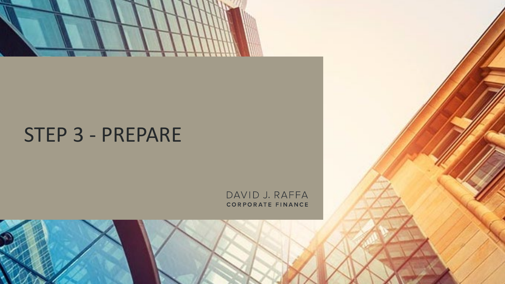

### STEP 3 - PREPARE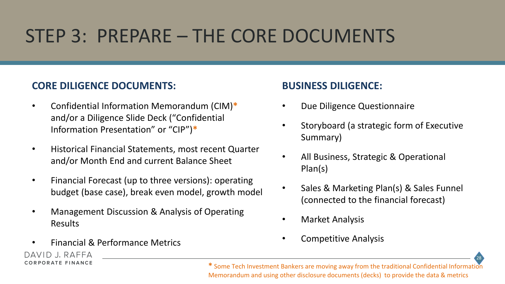# STEP 3: PREPARE – THE CORE DOCUMENTS

#### **CORE DILIGENCE DOCUMENTS:**

- Confidential Information Memorandum (CIM)**\***  and/or a Diligence Slide Deck ("Confidential Information Presentation" or "CIP")**\***
- Historical Financial Statements, most recent Quarter and/or Month End and current Balance Sheet
- Financial Forecast (up to three versions): operating budget (base case), break even model, growth model
- Management Discussion & Analysis of Operating Results
- Financial & Performance Metrics

DAVID J. RAFFA CORPORATE FINANCE

#### **BUSINESS DILIGENCE:**

- Due Diligence Questionnaire
- Storyboard (a strategic form of Executive Summary)
- All Business, Strategic & Operational Plan(s)
- Sales & Marketing Plan(s) & Sales Funnel (connected to the financial forecast)
- Market Analysis
- Competitive Analysis

28

**\*** Some Tech Investment Bankers are moving away from the traditional Confidential Information Memorandum and using other disclosure documents (decks) to provide the data & metrics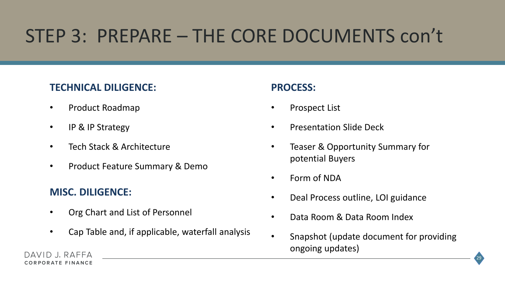# STEP 3: PREPARE – THE CORE DOCUMENTS con't

#### **TECHNICAL DILIGENCE:**

- Product Roadmap
- IP & IP Strategy
- Tech Stack & Architecture
- Product Feature Summary & Demo

#### **MISC. DILIGENCE:**

- Org Chart and List of Personnel
- Cap Table and, if applicable, waterfall analysis

#### **PROCESS:**

- Prospect List
- Presentation Slide Deck
- Teaser & Opportunity Summary for potential Buyers
- Form of NDA
- Deal Process outline, LOI guidance
- Data Room & Data Room Index
- Snapshot (update document for providing ongoing updates)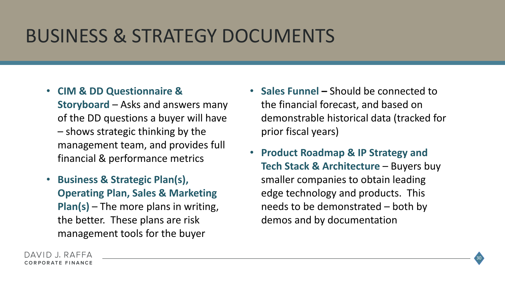### BUSINESS & STRATEGY DOCUMENTS

- **CIM & DD Questionnaire & Storyboard** – Asks and answers many of the DD questions a buyer will have – shows strategic thinking by the management team, and provides full financial & performance metrics
- **Business & Strategic Plan(s), Operating Plan, Sales & Marketing Plan(s)** – The more plans in writing, the better. These plans are risk management tools for the buyer
- **Sales Funnel –** Should be connected to the financial forecast, and based on demonstrable historical data (tracked for prior fiscal years)
- **Product Roadmap & IP Strategy and Tech Stack & Architecture** – Buyers buy smaller companies to obtain leading edge technology and products. This needs to be demonstrated – both by demos and by documentation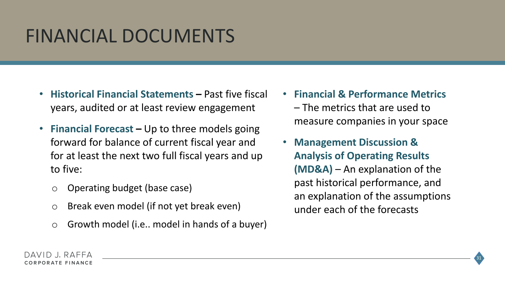# FINANCIAL DOCUMENTS

- **Historical Financial Statements –** Past five fiscal years, audited or at least review engagement
- **Financial Forecast –** Up to three models going forward for balance of current fiscal year and for at least the next two full fiscal years and up to five:
	- o Operating budget (base case)
	- o Break even model (if not yet break even)
	- o Growth model (i.e.. model in hands of a buyer)
- **Financial & Performance Metrics**  – The metrics that are used to measure companies in your space
	- **Management Discussion & Analysis of Operating Results (MD&A)** – An explanation of the past historical performance, and an explanation of the assumptions under each of the forecasts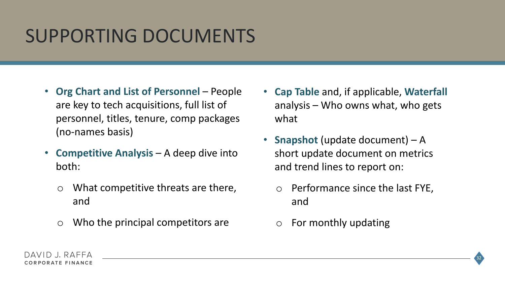## SUPPORTING DOCUMENTS

- **Org Chart and List of Personnel**  People are key to tech acquisitions, full list of personnel, titles, tenure, comp packages (no-names basis)
- **Competitive Analysis**  A deep dive into both:
	- o What competitive threats are there, and
	- $\circ$  Who the principal competitors are
- **Cap Table** and, if applicable, **Waterfall**  analysis – Who owns what, who gets what
- **Snapshot** (update document) A short update document on metrics and trend lines to report on:
	- o Performance since the last FYE, and
	- o For monthly updating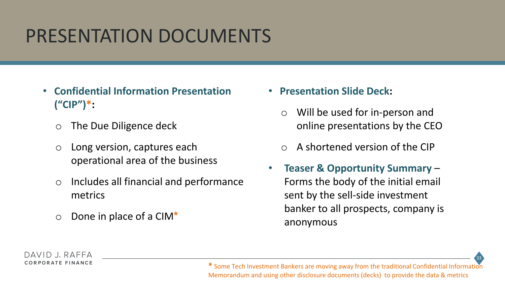# PRESENTATION DOCUMENTS

- **Confidential Information Presentation ("CIP")\*:**
	- o The Due Diligence deck
	- o Long version, captures each operational area of the business
	- o Includes all financial and performance metrics
	- o Done in place of a CIM**\***
- **Presentation Slide Deck:**
	- o Will be used for in-person and online presentations by the CEO
	- A shortened version of the CIP
- **Teaser & Opportunity Summary**  Forms the body of the initial email sent by the sell-side investment banker to all prospects, company is anonymous



**\*** Some Tech Investment Bankers are moving away from the traditional Confidential Information Memorandum and using other disclosure documents (decks) to provide the data & metrics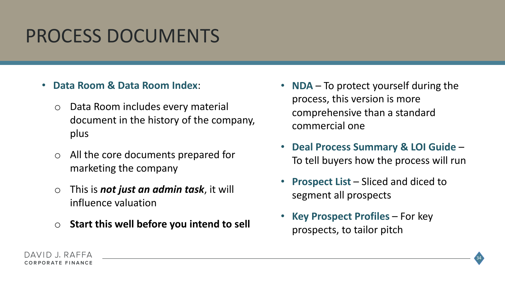### PROCESS DOCUMENTS

- **Data Room & Data Room Index**:
	- o Data Room includes every material document in the history of the company, plus
	- o All the core documents prepared for marketing the company
	- o This is *not just an admin task*, it will influence valuation
	- o **Start this well before you intend to sell**
- **NDA** To protect yourself during the process, this version is more comprehensive than a standard commercial one
- **Deal Process Summary & LOI Guide**  To tell buyers how the process will run
- **Prospect List**  Sliced and diced to segment all prospects
- **Key Prospect Profiles**  For key prospects, to tailor pitch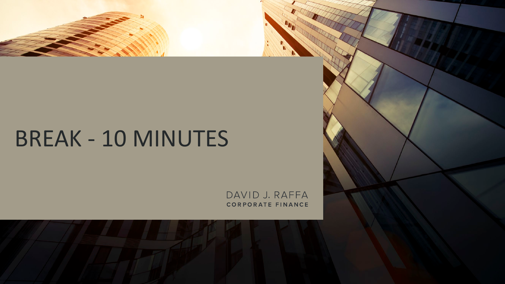# BREAK - 10 MINUTES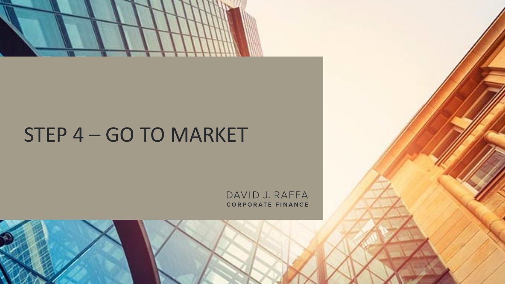

## STEP 4 – GO TO MARKET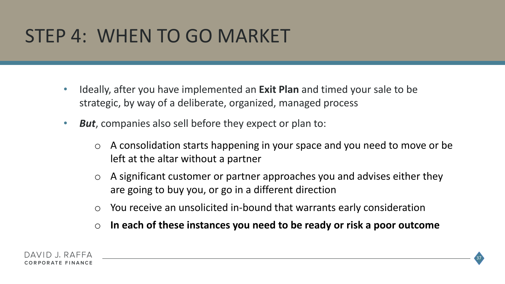# STEP 4: WHEN TO GO MARKET

- Ideally, after you have implemented an **Exit Plan** and timed your sale to be strategic, by way of a deliberate, organized, managed process
- *But*, companies also sell before they expect or plan to:
	- o A consolidation starts happening in your space and you need to move or be left at the altar without a partner
	- $\circ$  A significant customer or partner approaches you and advises either they are going to buy you, or go in a different direction
	- o You receive an unsolicited in-bound that warrants early consideration
	- o **In each of these instances you need to be ready or risk a poor outcome**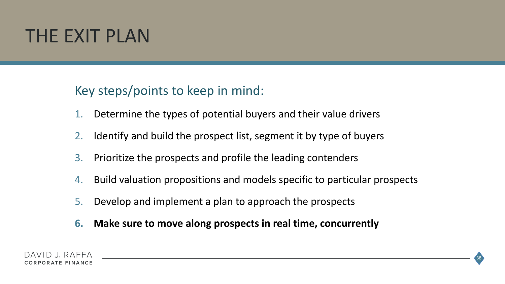#### THE EXIT PLAN

#### Key steps/points to keep in mind:

- 1. Determine the types of potential buyers and their value drivers
- 2. Identify and build the prospect list, segment it by type of buyers
- 3. Prioritize the prospects and profile the leading contenders
- 4. Build valuation propositions and models specific to particular prospects
- 5. Develop and implement a plan to approach the prospects
- **6. Make sure to move along prospects in real time, concurrently**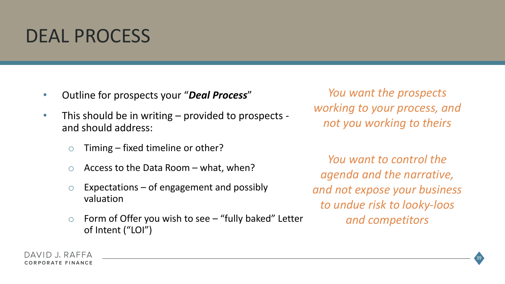#### DEAL PROCESS

- Outline for prospects your "*Deal Process*"
- This should be in writing provided to prospects and should address:
	- $\circ$  Timing fixed timeline or other?
	- $\circ$  Access to the Data Room what, when?
	- $\circ$  Expectations of engagement and possibly valuation
	- $\circ$  Form of Offer you wish to see "fully baked" Letter of Intent ("LOI")

*You want the prospects working to your process, and not you working to theirs*

*You want to control the agenda and the narrative, and not expose your business to undue risk to looky-loos and competitors*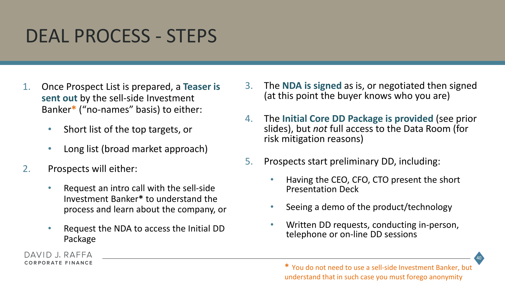#### DEAL PROCESS - STEPS

- 1. Once Prospect List is prepared, a **Teaser is sent out** by the sell-side Investment Banker**\*** ("no-names" basis) to either:
	- Short list of the top targets, or
	- Long list (broad market approach)
- 2. Prospects will either:

DAVID J. RAFFA CORPORATE FINANCE

- Request an intro call with the sell-side Investment Banker**\*** to understand the process and learn about the company, or
- Request the NDA to access the Initial DD Package
- 3. The **NDA is signed** as is, or negotiated then signed (at this point the buyer knows who you are)
- 4. The **Initial Core DD Package is provided** (see prior slides), but *not* full access to the Data Room (for risk mitigation reasons)
- 5. Prospects start preliminary DD, including:
	- Having the CEO, CFO, CTO present the short Presentation Deck
	- Seeing a demo of the product/technology
	- Written DD requests, conducting in-person, telephone or on-line DD sessions

40

**<sup>\*</sup>** You do not need to use a sell-side Investment Banker, but understand that in such case you must forego anonymity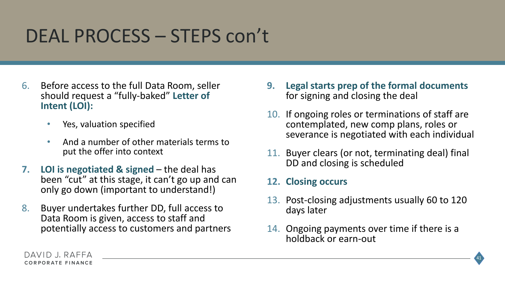### DEAL PROCESS – STEPS con't

- 6. Before access to the full Data Room, seller should request a "fully-baked" **Letter of Intent (LOI):**
	- Yes, valuation specified
	- And a number of other materials terms to put the offer into context
- **7.** LOI is negotiated & signed the deal has been "cut" at this stage, it can't go up and can only go down (important to understand!)
- 8. Buyer undertakes further DD, full access to Data Room is given, access to staff and potentially access to customers and partners
- **9. Legal starts prep of the formal documents**  for signing and closing the deal
- 10. If ongoing roles or terminations of staff are contemplated, new comp plans, roles or severance is negotiated with each individual
- 11. Buyer clears (or not, terminating deal) final DD and closing is scheduled
- **12. Closing occurs**
- 13. Post-closing adjustments usually 60 to 120 days later
- 14. Ongoing payments over time if there is a holdback or earn-out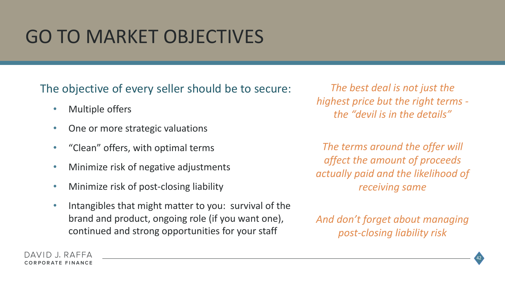# GO TO MARKET OBJECTIVES

The objective of every seller should be to secure:

- Multiple offers
- One or more strategic valuations
- "Clean" offers, with optimal terms
- Minimize risk of negative adjustments
- Minimize risk of post-closing liability
- Intangibles that might matter to you: survival of the brand and product, ongoing role (if you want one), continued and strong opportunities for your staff

*The best deal is not just the highest price but the right terms the "devil is in the details"* 

*The terms around the offer will affect the amount of proceeds actually paid and the likelihood of receiving same*

*And don't forget about managing post-closing liability risk*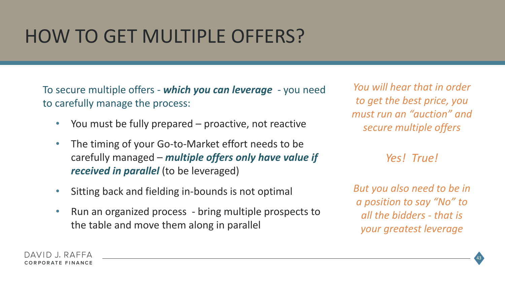### HOW TO GET MULTIPLE OFFERS?

To secure multiple offers - *which you can leverage* - you need to carefully manage the process:

- You must be fully prepared proactive, not reactive
- The timing of your Go-to-Market effort needs to be carefully managed – *multiple offers only have value if received in parallel* (to be leveraged)
- Sitting back and fielding in-bounds is not optimal
- Run an organized process bring multiple prospects to the table and move them along in parallel

*You will hear that in order to get the best price, you must run an "auction" and secure multiple offers*

*Yes! True!*

*But you also need to be in a position to say "No" to all the bidders - that is your greatest leverage*

43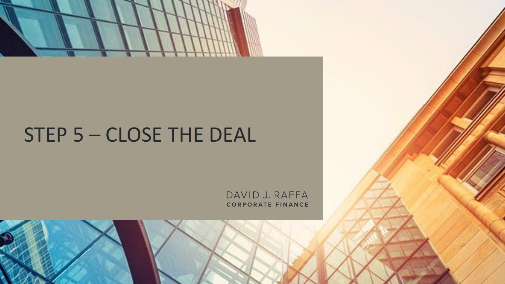

## STEP 5 – CLOSE THE DEAL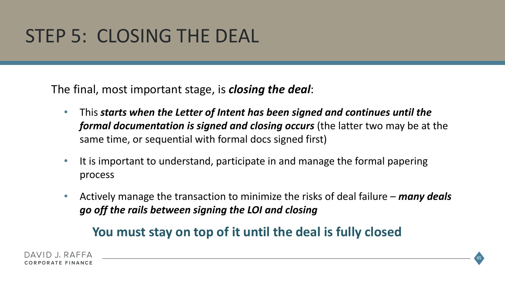### STEP 5: CLOSING THE DEAL

The final, most important stage, is *closing the deal*:

- This *starts when the Letter of Intent has been signed and continues until the formal documentation is signed and closing occurs* (the latter two may be at the same time, or sequential with formal docs signed first)
- It is important to understand, participate in and manage the formal papering process
- Actively manage the transaction to minimize the risks of deal failure *many deals go off the rails between signing the LOI and closing*

#### **You must stay on top of it until the deal is fully closed**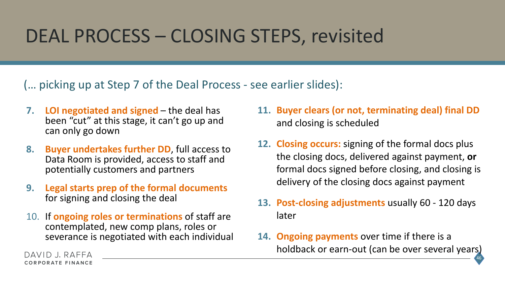### DEAL PROCESS – CLOSING STEPS, revisited

(… picking up at Step 7 of the Deal Process - see earlier slides):

- **7. LOI negotiated and signed**  the deal has been "cut" at this stage, it can't go up and can only go down
- **8. Buyer undertakes further DD**, full access to Data Room is provided, access to staff and potentially customers and partners
- **9. Legal starts prep of the formal documents** for signing and closing the deal
- 10. If **ongoing roles or terminations** of staff are contemplated, new comp plans, roles or severance is negotiated with each individual
- **11. Buyer clears (or not, terminating deal) final DD**  and closing is scheduled
- **12. Closing occurs:** signing of the formal docs plus the closing docs, delivered against payment, **or**  formal docs signed before closing, and closing is delivery of the closing docs against payment
- **13. Post-closing adjustments** usually 60 120 days later
- **14. Ongoing payments** over time if there is a holdback or earn-out (can be over several years)

46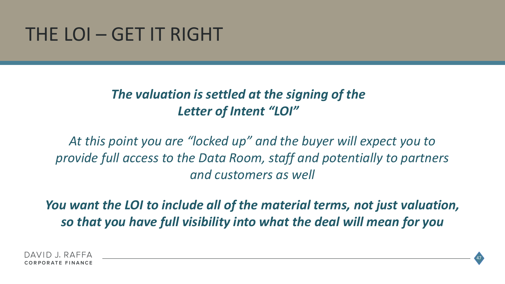#### THE LOI – GET IT RIGHT

#### *The valuation is settled at the signing of the Letter of Intent "LOI"*

*At this point you are "locked up" and the buyer will expect you to provide full access to the Data Room, staff and potentially to partners and customers as well*

*You want the LOI to include all of the material terms, not just valuation, so that you have full visibility into what the deal will mean for you*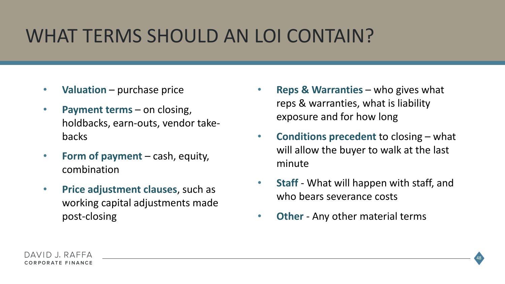## WHAT TERMS SHOULD AN LOI CONTAIN?

- **Valuation** purchase price
- **Payment terms**  on closing, holdbacks, earn-outs, vendor takebacks
- **Form of payment**  cash, equity, combination
- **Price adjustment clauses**, such as working capital adjustments made post-closing
- **Reps & Warranties**  who gives what reps & warranties, what is liability exposure and for how long
- **Conditions precedent** to closing what will allow the buyer to walk at the last minute
- **Staff** What will happen with staff, and who bears severance costs
- **Other** Any other material terms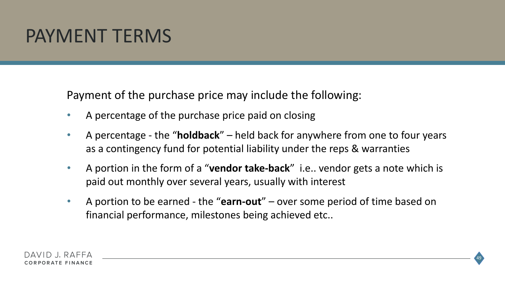#### PAYMENT TERMS

Payment of the purchase price may include the following:

- A percentage of the purchase price paid on closing
- A percentage the "**holdback**" held back for anywhere from one to four years as a contingency fund for potential liability under the reps & warranties
- A portion in the form of a "**vendor take-back**" i.e.. vendor gets a note which is paid out monthly over several years, usually with interest
- A portion to be earned the "**earn-out**" over some period of time based on financial performance, milestones being achieved etc..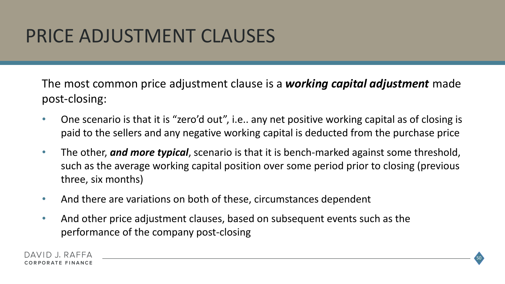### PRICE ADJUSTMENT CLAUSES

The most common price adjustment clause is a *working capital adjustment* made post-closing:

- One scenario is that it is "zero'd out", i.e.. any net positive working capital as of closing is paid to the sellers and any negative working capital is deducted from the purchase price
- The other, *and more typical*, scenario is that it is bench-marked against some threshold, such as the average working capital position over some period prior to closing (previous three, six months)
- And there are variations on both of these, circumstances dependent
- And other price adjustment clauses, based on subsequent events such as the performance of the company post-closing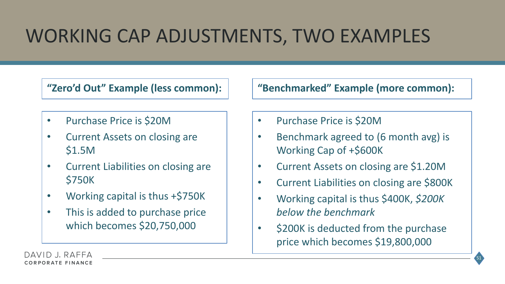# WORKING CAP ADJUSTMENTS, TWO EXAMPLES

- Purchase Price is \$20M
- Current Assets on closing are \$1.5M
- Current Liabilities on closing are \$750K
- Working capital is thus +\$750K
- This is added to purchase price which becomes \$20,750,000

**"Zero'd Out" Example (less common): "Benchmarked" Example (more common):**

- Purchase Price is \$20M
- Benchmark agreed to (6 month avg) is Working Cap of +\$600K
- Current Assets on closing are \$1.20M
- Current Liabilities on closing are \$800K
- Working capital is thus \$400K, *\$200K below the benchmark*
- \$200K is deducted from the purchase price which becomes \$19,800,000

51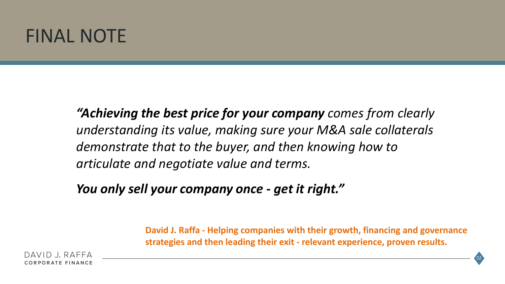#### FINAL NOTE

*"Achieving the best price for your company comes from clearly understanding its value, making sure your M&A sale collaterals demonstrate that to the buyer, and then knowing how to articulate and negotiate value and terms.*

*You only sell your company once - get it right."*

**David J. Raffa - Helping companies with their growth, financing and governance strategies and then leading their exit - relevant experience, proven results.**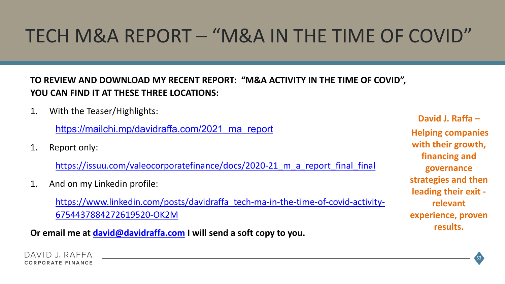# TECH M&A REPORT – "M&A IN THE TIME OF COVID"

#### **TO REVIEW AND DOWNLOAD MY RECENT REPORT: "M&A ACTIVITY IN THE TIME OF COVID", YOU CAN FIND IT AT THESE THREE LOCATIONS:**

1. With the Teaser/Highlights:

https://mailchi.mp/davidraffa.com/2021 ma\_report

1. Report only:

https://issuu.com/valeocorporatefinance/docs/2020-21 m a report final final

1. And on my Linkedin profile:

[https://www.linkedin.com/posts/davidraffa\\_tech-ma-in-the-time-of-covid-activity-](https://www.linkedin.com/posts/davidraffa_tech-ma-in-the-time-of-covid-activity-6754437884272619520-OK2M)6754437884272619520-OK2M

**Or email me at [david@davidraffa.com](mailto:david@davidraffa.com) I will send a soft copy to you.**

**David J. Raffa – Helping companies with their growth, financing and governance strategies and then leading their exit relevant experience, proven results.**